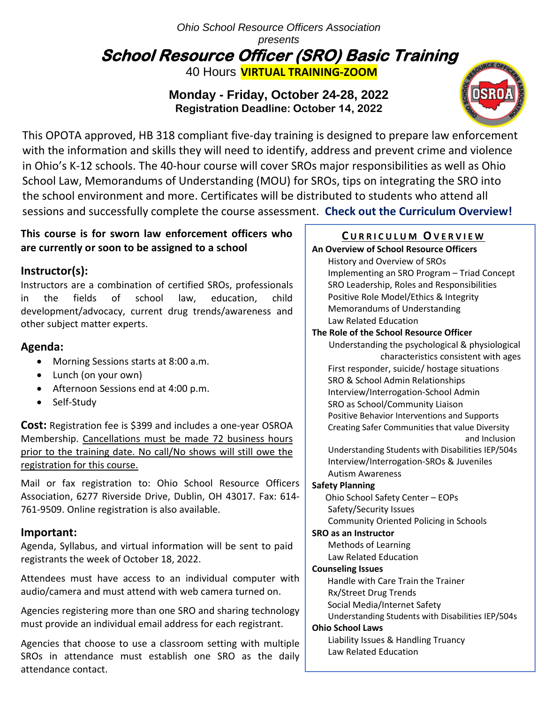# *Ohio School Resource Officers Association presents* **School Resource Officer (SRO) Basic Training**  40 Hours **VIRTUAL TRAINING-ZOOM**

# **Monday - Friday, October 24-28, 2022 Registration Deadline: October 14, 2022**



 with the information and skills they will need to identify, address and prevent crime and violence This OPOTA approved, HB 318 compliant five-day training is designed to prepare law enforcement in Ohio's K-12 schools. The 40-hour course will cover SROs major responsibilities as well as Ohio School Law, Memorandums of Understanding (MOU) for SROs, tips on integrating the SRO into the school environment and more. Certificates will be distributed to students who attend all sessions and successfully complete the course assessment. **Check out the Curriculum Overview!**

## **This course is for sworn law enforcement officers who are currently or soon to be assigned to a school**

# **Instructor(s):**

the fields of school  $\frac{1}{2}$  and  $\frac{1}{2}$  can construct  $\frac{1}{2}$  and  $\frac{1}{2}$  $\mathcal{L}$ Instructors are a combination of certified SROs, professionals in the fields of school law, education, child development/advocacy, current drug trends/awareness and other subject matter experts.

# **Agenda:**

- Morning Sessions starts at 8:00 a.m.
- Lunch (on your own)
- Afternoon Sessions end at 4:00 p.m.
- Self-Study

**Cost:** Registration fee is \$399 and includes a one-year OSROA Membership. Cancellations must be made 72 business hours prior to the training date. No call/No shows will still owe the registration for this course.

Mail or fax registration to: Ohio School Resource Officers Association, 6277 Riverside Drive, Dublin, OH 43017. Fax: 614- 761-9509. Online registration is also available.

# **Important:**

Agenda, Syllabus, and virtual information will be sent to paid registrants the week of October 18, 2022.

Attendees must have access to an individual computer with audio/camera and must attend with web camera turned on.

Agencies registering more than one SRO and sharing technology must provide an individual email address for each registrant.

Agencies that choose to use a classroom setting with multiple SROs in attendance must establish one SRO as the daily attendance contact.

# **C U R R I C U L U M OV E R V I E W**

**An Overview of School Resource Officers** History and Overview of SROs Implementing an SRO Program – Triad Concept SRO Leadership, Roles and Responsibilities Positive Role Model/Ethics & Integrity Memorandums of Understanding Law Related Education

#### **The Role of the School Resource Officer** Understanding the psychological & physiological characteristics consistent with ages First responder, suicide/ hostage situations SRO & School Admin Relationships Interview/Interrogation-School Admin SRO as School/Community Liaison Positive Behavior Interventions and Supports Creating Safer Communities that value Diversity

and Inclusion

Understanding Students with Disabilities IEP/504s Interview/Interrogation-SROs & Juveniles Autism Awareness

### **Safety Planning**

Ohio School Safety Center – EOPs

Safety/Security Issues

Community Oriented Policing in Schools

### **SRO as an Instructor**

Methods of Learning

Law Related Education

#### **Counseling Issues**

Handle with Care Train the Trainer

Rx/Street Drug Trends

Social Media/Internet Safety

Understanding Students with Disabilities IEP/504s

#### **Ohio School Laws**

Liability Issues & Handling Truancy Law Related Education